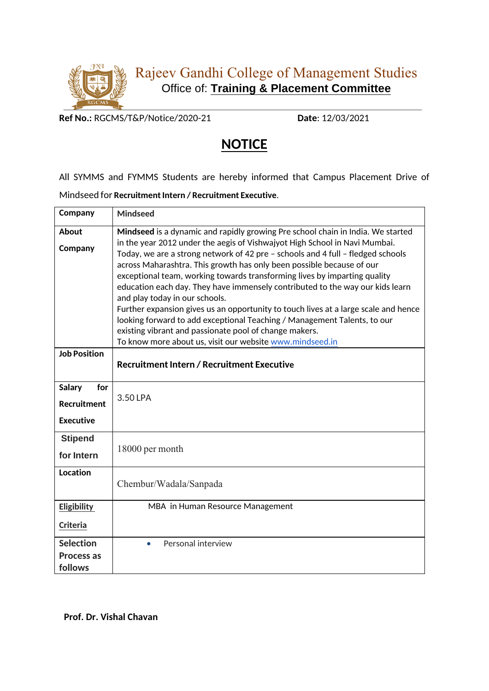

**Ref No.:** RGCMS/T&P/Notice/2020-21 **Date**: 12/03/2021

## **NOTICE**

All SYMMS and FYMMS Students are hereby informed that Campus Placement Drive of

Mindseed for **Recruitment Intern / Recruitment Executive**.

| Company              | <b>Mindseed</b>                                                                                                                                                                                                                                                                                                                                                                                                                                                                                                                                                                                                                                                                                                                 |
|----------------------|---------------------------------------------------------------------------------------------------------------------------------------------------------------------------------------------------------------------------------------------------------------------------------------------------------------------------------------------------------------------------------------------------------------------------------------------------------------------------------------------------------------------------------------------------------------------------------------------------------------------------------------------------------------------------------------------------------------------------------|
| <b>About</b>         | Mindseed is a dynamic and rapidly growing Pre school chain in India. We started                                                                                                                                                                                                                                                                                                                                                                                                                                                                                                                                                                                                                                                 |
| Company              | in the year 2012 under the aegis of Vishwajyot High School in Navi Mumbai.<br>Today, we are a strong network of 42 pre - schools and 4 full - fledged schools<br>across Maharashtra. This growth has only been possible because of our<br>exceptional team, working towards transforming lives by imparting quality<br>education each day. They have immensely contributed to the way our kids learn<br>and play today in our schools.<br>Further expansion gives us an opportunity to touch lives at a large scale and hence<br>looking forward to add exceptional Teaching / Management Talents, to our<br>existing vibrant and passionate pool of change makers.<br>To know more about us, visit our website www.mindseed.in |
| <b>Job Position</b>  | <b>Recruitment Intern / Recruitment Executive</b>                                                                                                                                                                                                                                                                                                                                                                                                                                                                                                                                                                                                                                                                               |
|                      |                                                                                                                                                                                                                                                                                                                                                                                                                                                                                                                                                                                                                                                                                                                                 |
| for<br><b>Salary</b> | 3.50 LPA                                                                                                                                                                                                                                                                                                                                                                                                                                                                                                                                                                                                                                                                                                                        |
| <b>Recruitment</b>   |                                                                                                                                                                                                                                                                                                                                                                                                                                                                                                                                                                                                                                                                                                                                 |
| <b>Executive</b>     |                                                                                                                                                                                                                                                                                                                                                                                                                                                                                                                                                                                                                                                                                                                                 |
| <b>Stipend</b>       | 18000 per month                                                                                                                                                                                                                                                                                                                                                                                                                                                                                                                                                                                                                                                                                                                 |
| for Intern           |                                                                                                                                                                                                                                                                                                                                                                                                                                                                                                                                                                                                                                                                                                                                 |
| <b>Location</b>      | Chembur/Wadala/Sanpada                                                                                                                                                                                                                                                                                                                                                                                                                                                                                                                                                                                                                                                                                                          |
|                      |                                                                                                                                                                                                                                                                                                                                                                                                                                                                                                                                                                                                                                                                                                                                 |
| Eligibility          | MBA in Human Resource Management                                                                                                                                                                                                                                                                                                                                                                                                                                                                                                                                                                                                                                                                                                |
| <b>Criteria</b>      |                                                                                                                                                                                                                                                                                                                                                                                                                                                                                                                                                                                                                                                                                                                                 |
| <b>Selection</b>     | Personal interview<br>$\bullet$                                                                                                                                                                                                                                                                                                                                                                                                                                                                                                                                                                                                                                                                                                 |
| <b>Process as</b>    |                                                                                                                                                                                                                                                                                                                                                                                                                                                                                                                                                                                                                                                                                                                                 |
| follows              |                                                                                                                                                                                                                                                                                                                                                                                                                                                                                                                                                                                                                                                                                                                                 |

**Prof. Dr. Vishal Chavan**